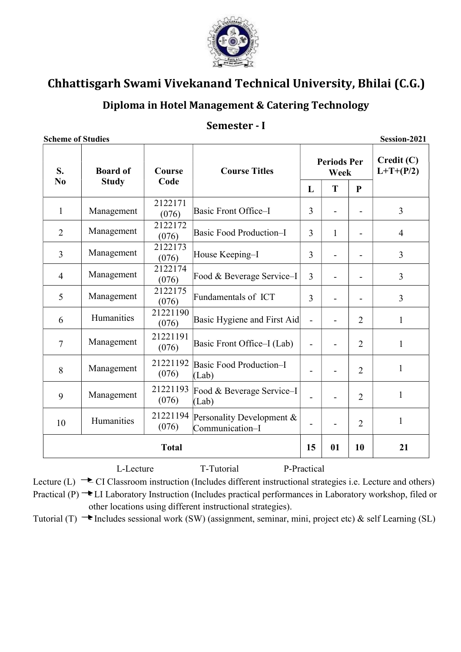

## Diploma in Hotel Management & Catering Technology

#### Semester - I

| S.<br>N <sub>0</sub> | <b>Board of</b><br><b>Study</b> | Course<br>Code    | <b>Course Titles</b>                         | <b>Periods Per</b><br>Week |              |                | Credit(C)<br>$L+T+(P/2)$ |  |
|----------------------|---------------------------------|-------------------|----------------------------------------------|----------------------------|--------------|----------------|--------------------------|--|
|                      |                                 |                   |                                              | L                          | T            | $\mathbf{P}$   |                          |  |
| $\mathbf{1}$         | Management                      | 2122171<br>(076)  | Basic Front Office-I                         | 3                          |              |                | $\overline{3}$           |  |
| $\overline{2}$       | Management                      | 2122172<br>(076)  | Basic Food Production-I                      | 3                          | $\mathbf{1}$ |                | $\overline{4}$           |  |
| 3                    | Management                      | 2122173<br>(076)  | House Keeping-I                              | 3                          |              |                | 3                        |  |
| $\overline{4}$       | Management                      | 2122174<br>(076)  | Food & Beverage Service-I                    | 3                          |              |                | 3                        |  |
| 5                    | Management                      | 2122175<br>(076)  | Fundamentals of ICT                          | 3                          |              |                | $\overline{3}$           |  |
| 6                    | Humanities                      | 21221190<br>(076) | Basic Hygiene and First Aid                  | $\overline{\phantom{a}}$   |              | $\overline{2}$ | 1                        |  |
| $\overline{7}$       | Management                      | 21221191<br>(076) | Basic Front Office–I (Lab)                   | $\overline{\phantom{a}}$   | -            | $\overline{2}$ | 1                        |  |
| 8                    | Management                      | 21221192<br>(076) | Basic Food Production-I<br>(Lab)             | $\blacksquare$             |              | $\overline{2}$ | $\mathbf{1}$             |  |
| 9                    | Management                      | 21221193<br>(076) | Food & Beverage Service-I<br>(Lab)           | $\blacksquare$             |              | $\overline{2}$ | $\mathbf{1}$             |  |
| 10                   | Humanities                      | 21221194<br>(076) | Personality Development &<br>Communication-I |                            |              | $\overline{2}$ | 1                        |  |
| <b>Total</b>         |                                 |                   |                                              |                            | 01           | 10             | 21                       |  |

Lecture (L)  $\rightarrow$  CI Classroom instruction (Includes different instructional strategies i.e. Lecture and others) Practical  $(P) \rightarrow L$ I Laboratory Instruction (Includes practical performances in Laboratory workshop, filed or other locations using different instructional strategies).

Tutorial (T)  $\rightarrow$  Includes sessional work (SW) (assignment, seminar, mini, project etc) & self Learning (SL)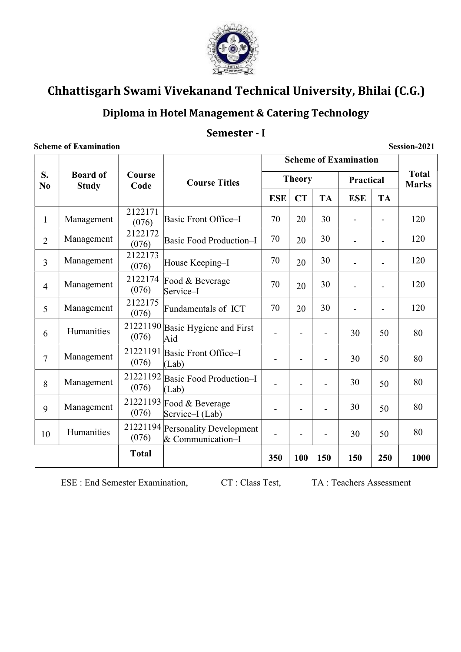

### Diploma in Hotel Management & Catering Technology

### Semester - I

|                | <b>Scheme of Examination</b><br>Session-2021 |                   |                                              |                              |                          |                          |                          |                |                              |  |
|----------------|----------------------------------------------|-------------------|----------------------------------------------|------------------------------|--------------------------|--------------------------|--------------------------|----------------|------------------------------|--|
|                | <b>Board of</b><br><b>Study</b>              | Course<br>Code    | <b>Course Titles</b>                         | <b>Scheme of Examination</b> |                          |                          |                          |                |                              |  |
| S.<br>No       |                                              |                   |                                              | <b>Theory</b>                |                          |                          | Practical                |                | <b>Total</b><br><b>Marks</b> |  |
|                |                                              |                   |                                              | <b>ESE</b>                   | <b>CT</b>                | <b>TA</b>                | <b>ESE</b>               | <b>TA</b>      |                              |  |
| $\mathbf{1}$   | Management                                   | 2122171<br>(076)  | Basic Front Office-I                         | 70                           | 20                       | 30                       | $\overline{\phantom{m}}$ | $\overline{a}$ | 120                          |  |
| $\overline{2}$ | Management                                   | 2122172<br>(076)  | <b>Basic Food Production-I</b>               | 70                           | 20                       | 30                       |                          | $\overline{a}$ | 120                          |  |
| $\overline{3}$ | Management                                   | 2122173<br>(076)  | House Keeping-I                              | 70                           | 20                       | 30                       |                          | $\overline{a}$ | 120                          |  |
| $\overline{4}$ | Management                                   | 2122174<br>(076)  | Food & Beverage<br>Service-I                 | 70                           | 20                       | 30                       |                          |                | 120                          |  |
| 5              | Management                                   | 2122175<br>(076)  | Fundamentals of ICT                          | 70                           | 20                       | 30                       |                          | $\overline{a}$ | 120                          |  |
| 6              | Humanities                                   | (076)             | 21221190 Basic Hygiene and First<br>Aid      |                              |                          |                          | 30                       | 50             | 80                           |  |
| $\overline{7}$ | Management                                   | 21221191<br>(076) | Basic Front Office-I<br>(Lab)                |                              | $\blacksquare$           | $\overline{\phantom{a}}$ | 30                       | 50             | 80                           |  |
| 8              | Management                                   | 21221192<br>(076) | Basic Food Production-I<br>(Lab)             |                              | $\overline{\phantom{a}}$ |                          | 30                       | 50             | 80                           |  |
| 9              | Management                                   | (076)             | 21221193 Food & Beverage<br>Service-I (Lab)  |                              |                          |                          | 30                       | 50             | 80                           |  |
| 10             | Humanities                                   | 21221194<br>(076) | Personality Development<br>& Communication-I |                              | $\blacksquare$           |                          | 30                       | 50             | 80                           |  |
|                |                                              | <b>Total</b>      |                                              | 350                          | 100                      | 150                      | 150                      | 250            | 1000                         |  |

ESE : End Semester Examination, CT : Class Test, TA : Teachers Assessment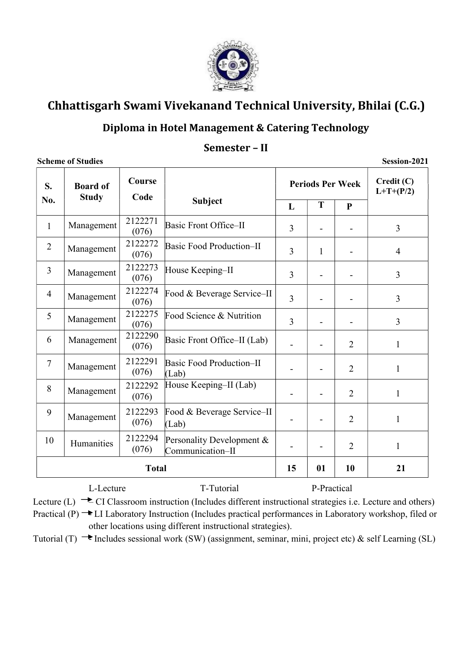

### Diploma in Hotel Management & Catering Technology

#### Semester – II

Scheme of Studies Session-2021

| S.             | <b>Board of</b><br><b>Study</b> | Course<br>Code   |                                               |   | <b>Periods Per Week</b> | Credit(C)<br>$L+T+(P/2)$ |                |
|----------------|---------------------------------|------------------|-----------------------------------------------|---|-------------------------|--------------------------|----------------|
| No.            |                                 |                  | <b>Subject</b>                                | L | T                       | $\mathbf{P}$             |                |
| $\mathbf{1}$   | Management                      | 2122271<br>(076) | Basic Front Office-II                         | 3 |                         |                          | $\overline{3}$ |
| $\overline{2}$ | Management                      | 2122272<br>(076) | Basic Food Production-II                      | 3 | $\mathbf{1}$            |                          | $\overline{4}$ |
| $\overline{3}$ | Management                      | 2122273<br>(076) | House Keeping-II                              | 3 |                         |                          | 3              |
| $\overline{4}$ | Management                      | 2122274<br>(076) | Food & Beverage Service-II                    | 3 |                         |                          | 3              |
| 5              | Management                      | 2122275<br>(076) | Food Science & Nutrition                      | 3 |                         |                          | 3              |
| 6              | Management                      | 2122290<br>(076) | Basic Front Office–II (Lab)                   |   |                         | $\overline{2}$           | $\mathbf{1}$   |
| $\overline{7}$ | Management                      | 2122291<br>(076) | Basic Food Production-II<br>(Lab)             |   |                         | $\overline{2}$           | $\mathbf{1}$   |
| 8              | Management                      | 2122292<br>(076) | House Keeping–II (Lab)                        |   |                         | $\overline{2}$           | $\mathbf{1}$   |
| 9              | Management                      | 2122293<br>(076) | Food & Beverage Service–II<br>(Lab)           |   |                         | $\overline{2}$           | $\mathbf{1}$   |
| 10             | Humanities                      | 2122294<br>(076) | Personality Development &<br>Communication-II |   |                         | $\overline{2}$           | 1              |
| <b>Total</b>   |                                 |                  |                                               |   | 01                      | 10                       | 21             |

L-Lecture T-Tutorial P-Practical Lecture (L)  $\rightarrow$  CI Classroom instruction (Includes different instructional strategies i.e. Lecture and others) Practical  $(P) \rightarrow L$ I Laboratory Instruction (Includes practical performances in Laboratory workshop, filed or

other locations using different instructional strategies).

Tutorial (T)  $\rightarrow$  Includes sessional work (SW) (assignment, seminar, mini, project etc) & self Learning (SL)